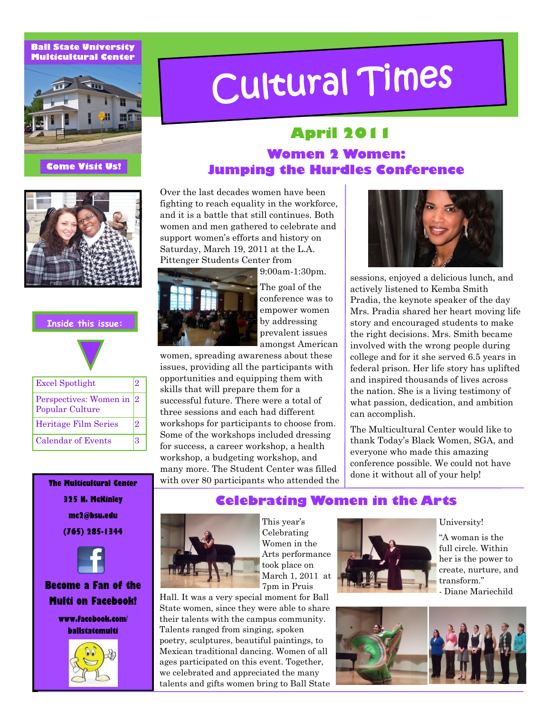#### **Ball State University Multicultural Center**



# Cultural Times

### **Women 2 Women: Jumping the Hurdles Conference April 2011**

Over the last decades women have been fighting to reach equality in the workforce, and it is a battle that still continues. Both women and men gathered to celebrate and support women's efforts and history on Saturday, March 19, 2011 at the L.A. Pittenger Students Center from



9:00am-1:30pm.

The goal of the conference was to amongst American

women, spreading awareness about these issues, providing all the participants with opportunities and equipping them with successful future. There were a total of workshops for participants to choose from. Some of the workshops included dressing for success, a career workshop, a health workshop, a budgeting workshop, and many more. The Student Center was filled with over 80 participants who attended the



sessions, enjoyed a delicious lunch, and actively listened to Kemba Smith Pradia, the keynote speaker of the day Mrs. Pradia shared her heart moving life story and encouraged students to make the right decisions. Mrs. Smith became involved with the wrong people during college and for it she served 6.5 years in federal prison. Her life story has uplifted and inspired thousands of lives across the nation. She is a living testimony of what passion, dedication, and ambition can accomplish.

The Multicultural Center would like to thank Today's Black Women, SGA, and everyone who made this amazing conference possible. We could not have done it without all of your help!



empower women by addressing prevalent issues

skills that will prepare them for a three sessions and each had different

**The Multicultural Center 325 N. McKinley mc2@bsu.edu**

Excel Spotlight

Popular Culture

Perspectives: Women in 2

**Inside this issue:**

Heritage Film Series 2 Calendar of Events 3

**(765) 285-1344**



**Become a Fan of the Multi on Facebook!**

> **www.facebook.com/ ballstatemulti**



#### **Celebrating Women in the Arts**



This year's Celebrating Women in the Arts performance took place on March 1, 2011 at 7pm in Pruis

Hall. It was a very special moment for Ball State women, since they were able to share their talents with the campus community. Talents ranged from singing, spoken poetry, sculptures, beautiful paintings, to Mexican traditional dancing. Women of all ages participated on this event. Together, we celebrated and appreciated the many talents and gifts women bring to Ball State



University!

"A woman is the full circle. Within her is the power to create, nurture, and transform." - Diane Mariechild

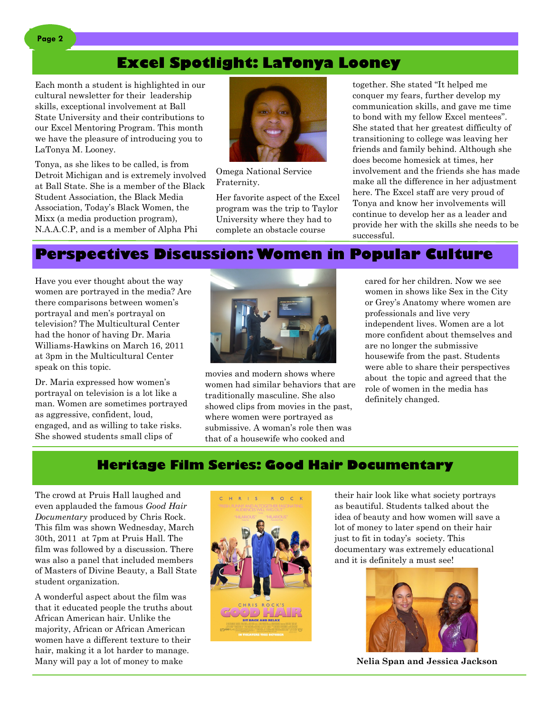#### **Excel Spotlight: LaTonya Looney**

Each month a student is highlighted in our cultural newsletter for their leadership skills, exceptional involvement at Ball State University and their contributions to our Excel Mentoring Program. This month we have the pleasure of introducing you to LaTonya M. Looney.

Tonya, as she likes to be called, is from Detroit Michigan and is extremely involved at Ball State. She is a member of the Black Student Association, the Black Media Association, Today's Black Women, the Mixx (a media production program), N.A.A.C.P, and is a member of Alpha Phi



Omega National Service Fraternity.

Her favorite aspect of the Excel program was the trip to Taylor University where they had to complete an obstacle course

together. She stated "It helped me conquer my fears, further develop my communication skills, and gave me time to bond with my fellow Excel mentees". She stated that her greatest difficulty of transitioning to college was leaving her friends and family behind. Although she does become homesick at times, her involvement and the friends she has made make all the difference in her adjustment here. The Excel staff are very proud of Tonya and know her involvements will continue to develop her as a leader and provide her with the skills she needs to be successful.

#### **Perspectives Discussion: Women in Popular Culture**

Have you ever thought about the way women are portrayed in the media? Are there comparisons between women's portrayal and men's portrayal on television? The Multicultural Center had the honor of having Dr. Maria Williams-Hawkins on March 16, 2011 at 3pm in the Multicultural Center speak on this topic.

Dr. Maria expressed how women's portrayal on television is a lot like a man. Women are sometimes portrayed as aggressive, confident, loud, engaged, and as willing to take risks. She showed students small clips of



movies and modern shows where women had similar behaviors that are traditionally masculine. She also showed clips from movies in the past, where women were portrayed as submissive. A woman's role then was that of a housewife who cooked and

cared for her children. Now we see women in shows like Sex in the City or Grey's Anatomy where women are professionals and live very independent lives. Women are a lot more confident about themselves and are no longer the submissive housewife from the past. Students were able to share their perspectives about the topic and agreed that the role of women in the media has definitely changed.

#### **Heritage Film Series: Good Hair Documentary**

The crowd at Pruis Hall laughed and even applauded the famous *Good Hair Documentary* produced by Chris Rock. This film was shown Wednesday, March 30th, 2011 at 7pm at Pruis Hall. The film was followed by a discussion. There was also a panel that included members of Masters of Divine Beauty, a Ball State student organization.

A wonderful aspect about the film was that it educated people the truths about African American hair. Unlike the majority, African or African American women have a different texture to their hair, making it a lot harder to manage. Many will pay a lot of money to make



their hair look like what society portrays as beautiful. Students talked about the idea of beauty and how women will save a lot of money to later spend on their hair just to fit in today's society. This documentary was extremely educational and it is definitely a must see!



**Nelia Span and Jessica Jackson** 

**Page 2**